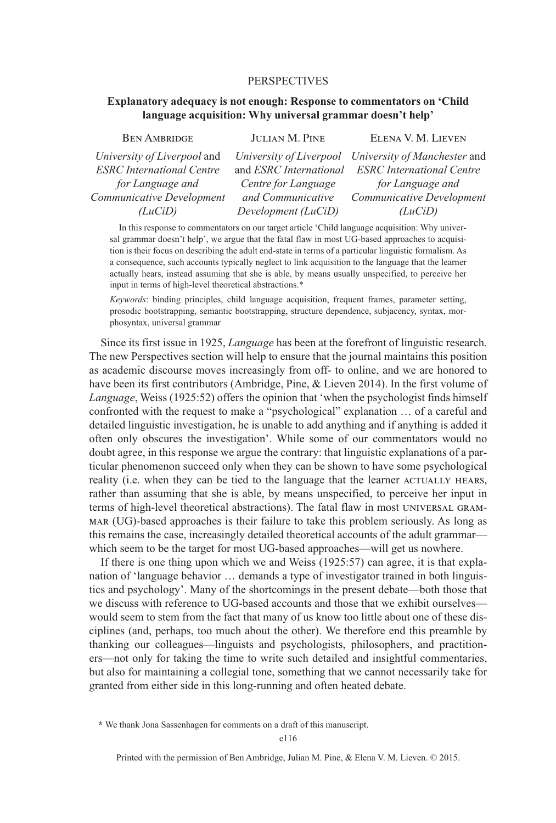# PERSPECTIVES

# **Explanatory adequacy is not enough: Response to commentators on 'Child language acquisition: Why universal grammar doesn't help'**

| <b>BEN AMBRIDGE</b>              | <b>JULIAN M. PINE</b> | ELENA V. M. LIEVEN                                   |
|----------------------------------|-----------------------|------------------------------------------------------|
| University of Liverpool and      |                       | University of Liverpool University of Manchester and |
| <b>ESRC</b> International Centre |                       | and ESRC International ESRC International Centre     |
| for Language and                 | Centre for Language   | for Language and                                     |
| Communicative Development        | and Communicative     | Communicative Development                            |
| (LuCiD)                          | Development (LuCiD)   | (LuCiD)                                              |

In this response to commentators on our target article 'Child language acquisition: Why universal grammar doesn't help', we argue that the fatal flaw in most UG-based approaches to acquisition is their focus on describing the adult end-state in terms of a particular linguistic formalism. As a consequence, such accounts typically neglect to link acquisition to the language that the learner actually hears, instead assuming that she is able, by means usually unspecified, to perceive her input in terms of high-level theoretical abstractions.\*

*Keywords*: binding principles, child language acquisition, frequent frames, parameter setting, prosodic bootstrapping, semantic bootstrapping, structure dependence, subjacency, syntax, morphosyntax, universal grammar

Since its first issue in 1925, *Language* has been at the forefront of linguistic research. The new Perspectives section will help to ensure that the journal maintains this position as academic discourse moves increasingly from off- to online, and we are honored to have been its first contributors (Ambridge, Pine, & Lieven 2014). In the first volume of *Language*, Weiss (1925:52) offers the opinion that 'when the psychologist finds himself confronted with the request to make a "psychological" explanation … of a careful and detailed linguistic investigation, he is unable to add anything and if anything is added it often only obscures the investigation'. While some of our commentators would no doubt agree, in this response we argue the contrary: that linguistic explanations of a particular phenomenon succeed only when they can be shown to have some psychological reality (i.e. when they can be tied to the language that the learner ACTUALLY HEARS, rather than assuming that she is able, by means unspecified, to perceive her input in terms of high-level theoretical abstractions). The fatal flaw in most universal grammar (UG)-based approaches is their failure to take this problem seriously. As long as this remains the case, increasingly detailed theoretical accounts of the adult grammar which seem to be the target for most UG-based approaches—will get us nowhere.

If there is one thing upon which we and Weiss (1925:57) can agree, it is that explanation of 'language behavior … demands a type of investigator trained in both linguistics and psychology'. Many of the shortcomings in the present debate—both those that we discuss with reference to UG-based accounts and those that we exhibit ourselves would seem to stem from the fact that many of us know too little about one of these disciplines (and, perhaps, too much about the other). We therefore end this preamble by thanking our colleagues—linguists and psychologists, philosophers, and practitioners—not only for taking the time to write such detailed and insightful commentaries, but also for maintaining a collegial tone, something that we cannot necessarily take for granted from either side in this long-running and often heated debate.

**\*** We thank Jona Sassenhagen for comments on a draft of this manuscript.

e116

Printed with the permission of Ben Ambridge, Julian M. Pine, & Elena V. M. Lieven. © 2015.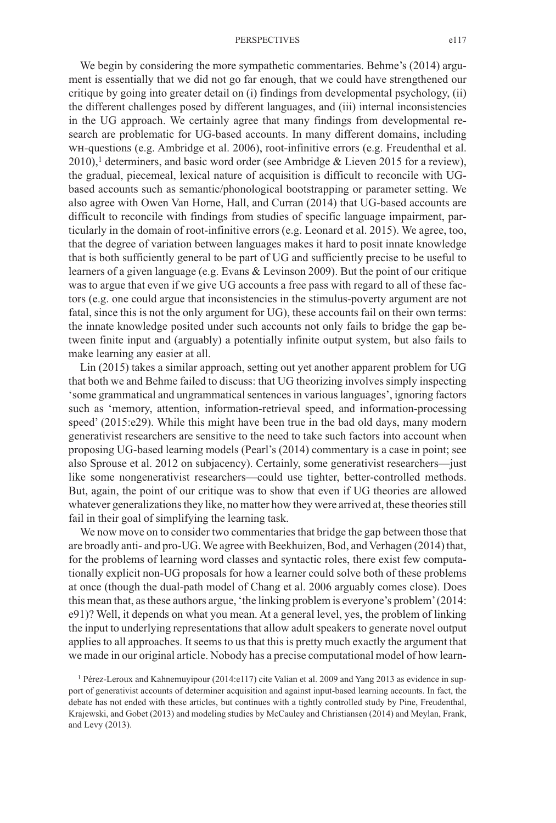### PERSPECTIVES e117

We begin by considering the more sympathetic commentaries. Behme's (2014) argument is essentially that we did not go far enough, that we could have strengthened our critique by going into greater detail on (i) findings from developmental psychology, (ii) the different challenges posed by different languages, and (iii) internal inconsistencies in the UG approach. We certainly agree that many findings from developmental research are problematic for UG-based accounts. In many different domains, including wh*-*questions (e.g. Ambridge et al. 2006), root-infinitive errors (e.g. Freudenthal et al.  $2010$ ,<sup>1</sup> determiners, and basic word order (see Ambridge & Lieven 2015 for a review), the gradual, piecemeal, lexical nature of acquisition is difficult to reconcile with UGbased accounts such as semantic/phonological bootstrapping or parameter setting. We also agree with Owen Van Horne, Hall, and Curran (2014) that UG-based accounts are difficult to reconcile with findings from studies of specific language impairment, particularly in the domain of root-infinitive errors (e.g. Leonard et al. 2015). We agree, too, that the degree of variation between languages makes it hard to posit innate knowledge that is both sufficiently general to be part of UG and sufficiently precise to be useful to learners of a given language (e.g. Evans & Levinson 2009). But the point of our critique was to argue that even if we give UG accounts a free pass with regard to all of these factors (e.g. one could argue that inconsistencies in the stimulus-poverty argument are not fatal, since this is not the only argument for UG), these accounts fail on their own terms: the innate knowledge posited under such accounts not only fails to bridge the gap between finite input and (arguably) a potentially infinite output system, but also fails to make learning any easier at all.

Lin (2015) takes a similar approach, setting out yet another apparent problem for UG that both we and Behme failed to discuss: that UG theorizing involves simply inspecting 'some grammatical and ungrammatical sentences in various languages', ignoring factors such as 'memory, attention, information-retrieval speed, and information-processing speed' (2015:e29). While this might have been true in the bad old days, many modern generativist researchers are sensitive to the need to take such factors into account when proposing UG-based learning models (Pearl's (2014) commentary is a case in point; see also Sprouse et al. 2012 on subjacency). Certainly, some generativist researchers—just like some nongenerativist researchers—could use tighter, better-controlled methods. But, again, the point of our critique was to show that even if UG theories are allowed whatever generalizations they like, no matter how they were arrived at, these theories still fail in their goal of simplifying the learning task.

We now move on to consider two commentaries that bridge the gap between those that are broadly anti- and pro-UG.We agree with Beekhuizen, Bod, and Verhagen (2014) that, for the problems of learning word classes and syntactic roles, there exist few computationally explicit non-UG proposals for how a learner could solve both of these problems at once (though the dual-path model of Chang et al. 2006 arguably comes close). Does this mean that, as these authors argue, 'the linking problem is everyone's problem' (2014: e91)? Well, it depends on what you mean. At a general level, yes, the problem of linking the input to underlying representations that allow adult speakers to generate novel output applies to all approaches. It seems to us that this is pretty much exactly the argument that we made in our original article. Nobody has a precise computational model of how learn-

<sup>1</sup> Pérez-Leroux and Kahnemuyipour (2014:e117) cite Valian et al. 2009 and Yang 2013 as evidence in support of generativist accounts of determiner acquisition and against input-based learning accounts. In fact, the debate has not ended with these articles, but continues with a tightly controlled study by Pine, Freudenthal, Krajewski, and Gobet (2013) and modeling studies by McCauley and Christiansen (2014) and Meylan, Frank, and Levy (2013).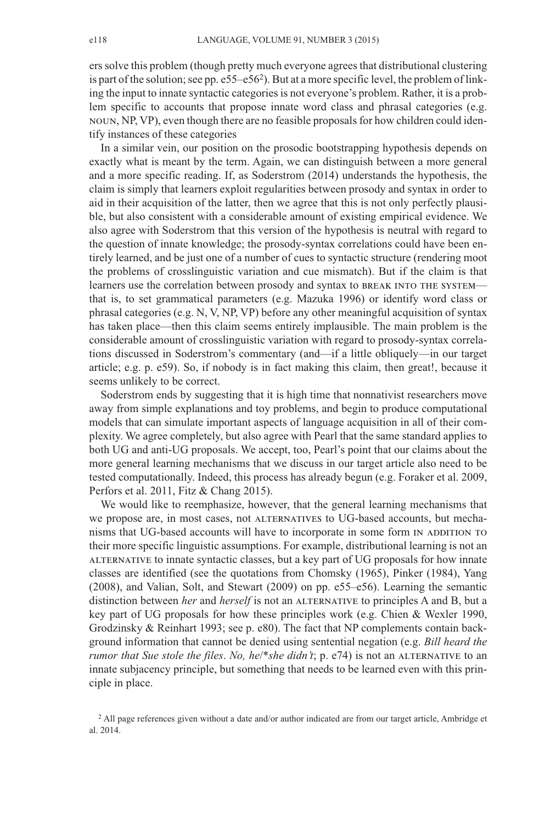ers solve this problem (though pretty much everyone agrees that distributional clustering is part of the solution; see pp. e55–e56<sup>2</sup>). But at a more specific level, the problem of linking the input to innate syntactic categories is not everyone's problem. Rather, it is a problem specific to accounts that propose innate word class and phrasal categories (e.g. noun, NP, VP), even though there are no feasible proposals for how children could identify instances of these categories

In a similar vein, our position on the prosodic bootstrapping hypothesis depends on exactly what is meant by the term. Again, we can distinguish between a more general and a more specific reading. If, as Soderstrom (2014) understands the hypothesis, the claim is simply that learners exploit regularities between prosody and syntax in order to aid in their acquisition of the latter, then we agree that this is not only perfectly plausible, but also consistent with a considerable amount of existing empirical evidence. We also agree with Soderstrom that this version of the hypothesis is neutral with regard to the question of innate knowledge; the prosody-syntax correlations could have been entirely learned, and be just one of a number of cues to syntactic structure (rendering moot the problems of crosslinguistic variation and cue mismatch). But if the claim is that learners use the correlation between prosody and syntax to BREAK INTO THE SYSTEM that is, to set grammatical parameters (e.g. Mazuka 1996) or identify word class or phrasal categories (e.g. N, V, NP, VP) before any other meaningful acquisition of syntax has taken place—then this claim seems entirely implausible. The main problem is the considerable amount of crosslinguistic variation with regard to prosody-syntax correlations discussed in Soderstrom's commentary (and—if a little obliquely—in our target article; e.g. p. e59). So, if nobody is in fact making this claim, then great!, because it seems unlikely to be correct.

Soderstrom ends by suggesting that it is high time that nonnativist researchers move away from simple explanations and toy problems, and begin to produce computational models that can simulate important aspects of language acquisition in all of their complexity. We agree completely, but also agree with Pearl that the same standard applies to both UG and anti-UG proposals. We accept, too, Pearl's point that our claims about the more general learning mechanisms that we discuss in our target article also need to be tested computationally. Indeed, this process has already begun (e.g. Foraker et al. 2009, Perfors et al. 2011, Fitz & Chang 2015).

We would like to reemphasize, however, that the general learning mechanisms that we propose are, in most cases, not ALTERNATIVES to UG-based accounts, but mechanisms that UG-based accounts will have to incorporate in some form in ADDITION TO their more specific linguistic assumptions. For example, distributional learning is not an alternative to innate syntactic classes, but a key part of UG proposals for how innate classes are identified (see the quotations from Chomsky (1965), Pinker (1984), Yang (2008), and Valian, Solt, and Stewart (2009) on pp. e55–e56). Learning the semantic distinction between *her* and *herself* is not an ALTERNATIVE to principles A and B, but a key part of UG proposals for how these principles work (e.g. Chien & Wexler 1990, Grodzinsky & Reinhart 1993; see p. e80). The fact that NP complements contain background information that cannot be denied using sentential negation (e.g. *Bill heard the rumor that Sue stole the files. No, he*/\**she didn't*; p. e74) is not an ALTERNATIVE to an innate subjacency principle, but something that needs to be learned even with this principle in place.

<sup>&</sup>lt;sup>2</sup> All page references given without a date and/or author indicated are from our target article, Ambridge et al. 2014.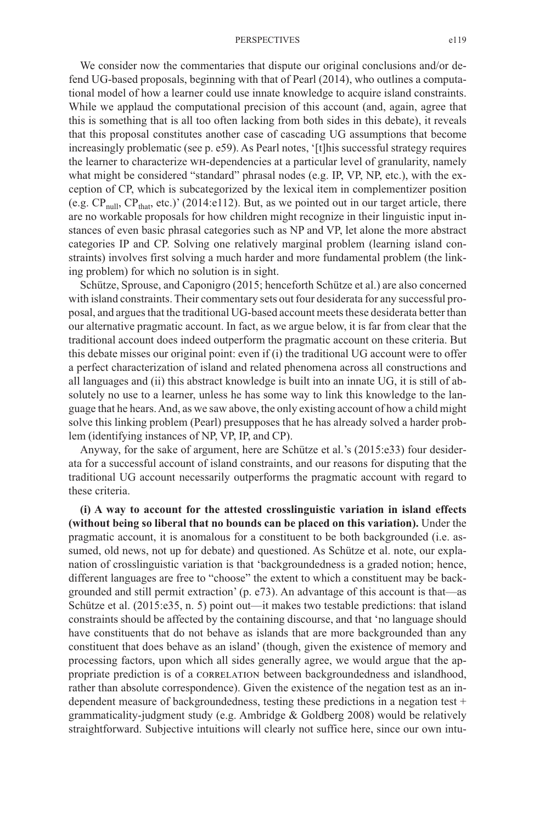#### PERSPECTIVES e119

We consider now the commentaries that dispute our original conclusions and/or defend UG-based proposals, beginning with that of Pearl (2014), who outlines a computational model of how a learner could use innate knowledge to acquire island constraints. While we applaud the computational precision of this account (and, again, agree that this is something that is all too often lacking from both sides in this debate), it reveals that this proposal constitutes another case of cascading UG assumptions that become increasingly problematic (see p. e59). As Pearl notes, '[t]his successful strategy requires the learner to characterize wh-dependencies at a particular level of granularity, namely what might be considered "standard" phrasal nodes (e.g. IP, VP, NP, etc.), with the exception of CP, which is subcategorized by the lexical item in complementizer position (e.g.  $CP_{null}$ ,  $CP_{that}$ , etc.)' (2014:e112). But, as we pointed out in our target article, there are no workable proposals for how children might recognize in their linguistic input instances of even basic phrasal categories such as NP and VP, let alone the more abstract categories IP and CP. Solving one relatively marginal problem (learning island constraints) involves first solving a much harder and more fundamental problem (the linking problem) for which no solution is in sight.

Schütze, Sprouse, and Caponigro (2015; henceforth Schütze et al.) are also concerned with island constraints. Their commentary sets out four desiderata for any successful proposal, and argues that the traditional UG-based account meets these desiderata better than our alternative pragmatic account. In fact, as we argue below, it is far from clear that the traditional account does indeed outperform the pragmatic account on these criteria. But this debate misses our original point: even if (i) the traditional UG account were to offer a perfect characterization of island and related phenomena across all constructions and all languages and (ii) this abstract knowledge is built into an innate UG, it is still of absolutely no use to a learner, unless he has some way to link this knowledge to the language that he hears.And, as we saw above, the only existing account of how a child might solve this linking problem (Pearl) presupposes that he has already solved a harder problem (identifying instances of NP, VP, IP, and CP).

Anyway, for the sake of argument, here are Schütze et al.'s (2015:e33) four desiderata for a successful account of island constraints, and our reasons for disputing that the traditional UG account necessarily outperforms the pragmatic account with regard to these criteria.

**(i) A way to account for the attested crosslinguistic variation in island effects (without being so liberal that no bounds can be placed on this variation).** Under the pragmatic account, it is anomalous for a constituent to be both backgrounded (i.e. assumed, old news, not up for debate) and questioned. As Schütze et al. note, our explanation of crosslinguistic variation is that 'backgroundedness is a graded notion; hence, different languages are free to "choose" the extent to which a constituent may be backgrounded and still permit extraction' (p. e73). An advantage of this account is that—as Schütze et al. (2015:e35, n. 5) point out—it makes two testable predictions: that island constraints should be affected by the containing discourse, and that 'no language should have constituents that do not behave as islands that are more backgrounded than any constituent that does behave as an island' (though, given the existence of memory and processing factors, upon which all sides generally agree, we would argue that the appropriate prediction is of a CORRELATION between backgroundedness and islandhood, rather than absolute correspondence). Given the existence of the negation test as an independent measure of backgroundedness, testing these predictions in a negation test + grammaticality-judgment study (e.g. Ambridge & Goldberg 2008) would be relatively straightforward. Subjective intuitions will clearly not suffice here, since our own intu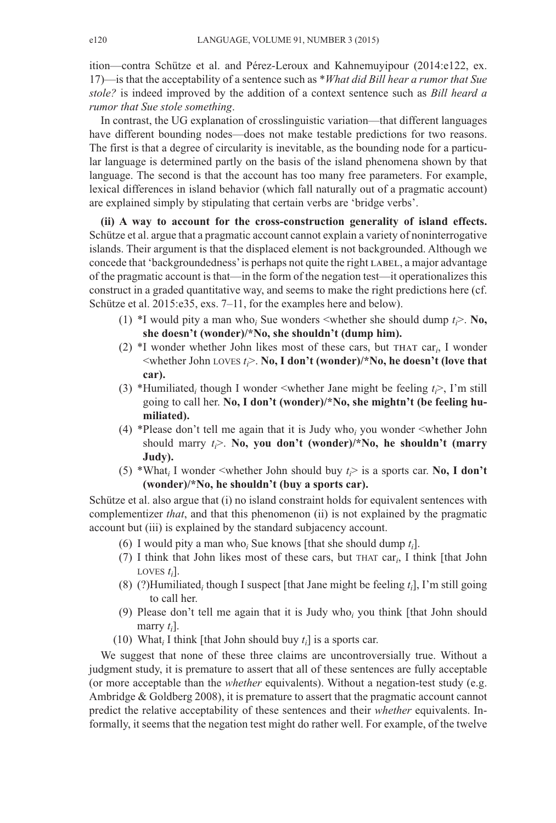ition—contra Schütze et al. and Pérez-Leroux and Kahnemuyipour (2014:e122, ex. 17)—is that the acceptability of a sentence such as *\*What did Bill hear a rumor that Sue stole?* is indeed improved by the addition of a context sentence such as *Bill heard a rumor that Sue stole something*.

In contrast, the UG explanation of crosslinguistic variation—that different languages have different bounding nodes—does not make testable predictions for two reasons. The first is that a degree of circularity is inevitable, as the bounding node for a particular language is determined partly on the basis of the island phenomena shown by that language. The second is that the account has too many free parameters. For example, lexical differences in island behavior (which fall naturally out of a pragmatic account) are explained simply by stipulating that certain verbs are 'bridge verbs'.

**(ii) A way to account for the cross-construction generality of island effects.** Schütze et al. argue that a pragmatic account cannot explain a variety of noninterrogative islands. Their argument is that the displaced element is not backgrounded. Although we concede that 'backgroundedness' is perhaps not quite the right LABEL, a major advantage of the pragmatic account is that—in the form of the negation test—it operationalizes this construct in a graded quantitative way, and seems to make the right predictions here (cf. Schütze et al. 2015:e35, exs. 7–11, for the examples here and below).

- (1)  $*I$  would pity a man who<sub>i</sub> Sue wonders  $\leq$  whether she should dump  $t_i$ . **No**, **she doesn't (wonder)/\*No, she shouldn't (dump him).**
- (2) \*I wonder whether John likes most of these cars, but that car*<sup>i</sup>* , I wonder <whether John LOVES *ti* >. **No, I don't (wonder)/\*No, he doesn't (love that car).**
- (3) \*Humiliated<sub>*i*</sub> though I wonder <whether Jane might be feeling  $t_i$ >, I'm still going to call her. **No, I don't (wonder)/\*No, she mightn't (be feeling humiliated).**
- (4) \*Please don't tell me again that it is Judy who*<sup>i</sup>* you wonder <whether John should marry *ti* >. **No, you don't (wonder)/\*No, he shouldn't (marry Judy).**
- (5) \*What<sub>*i*</sub> I wonder <whether John should buy  $t_i$  is a sports car. **No, I don't (wonder)/\*No, he shouldn't (buy a sports car).**

Schütze et al. also argue that (i) no island constraint holds for equivalent sentences with complementizer *that*, and that this phenomenon (ii) is not explained by the pragmatic account but (iii) is explained by the standard subjacency account.

- (6) I would pity a man who<sub>i</sub> Sue knows [that she should dump  $t_i$ ].
- (7) I think that John likes most of these cars, but THAT car*<sup>i</sup>* , I think [that John LOVES  $t_i$ ].
- (8) (?)Humiliated*<sup>i</sup>* though I suspect [that Jane might be feeling *ti* ], I'm still going to call her.
- (9) Please don't tell me again that it is Judy who*<sup>i</sup>* you think [that John should marry *ti* ].
- (10) What<sub>*i*</sub> I think [that John should buy  $t_i$ ] is a sports car.

We suggest that none of these three claims are uncontroversially true. Without a judgment study, it is premature to assert that all of these sentences are fully acceptable (or more acceptable than the *whether* equivalents). Without a negation-test study (e.g. Ambridge & Goldberg 2008), it is premature to assert that the pragmatic account cannot predict the relative acceptability of these sentences and their *whether* equivalents. Informally, it seems that the negation test might do rather well. For example, of the twelve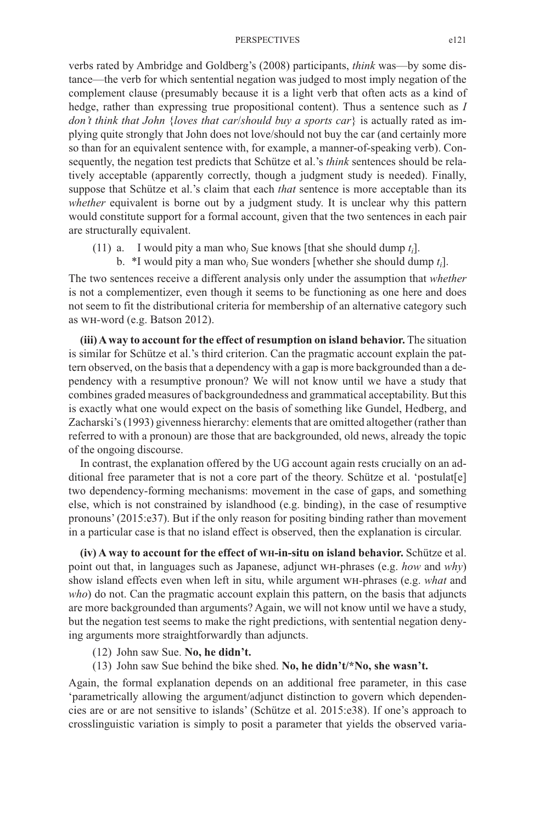#### PERSPECTIVES e121

verbs rated by Ambridge and Goldberg's (2008) participants, *think* was—by some distance—the verb for which sentential negation was judged to most imply negation of the complement clause (presumably because it is a light verb that often acts as a kind of hedge, rather than expressing true propositional content). Thus a sentence such as *I don't think that John* {*loves that car*/*should buy a sports car*} is actually rated as implying quite strongly that John does not love/should not buy the car (and certainly more so than for an equivalent sentence with, for example, a manner-of-speaking verb). Consequently, the negation test predicts that Schütze et al.'s *think* sentences should be relatively acceptable (apparently correctly, though a judgment study is needed). Finally, suppose that Schütze et al.'s claim that each *that* sentence is more acceptable than its *whether* equivalent is borne out by a judgment study. It is unclear why this pattern would constitute support for a formal account, given that the two sentences in each pair are structurally equivalent.

- (11) a. I would pity a man who<sub>i</sub> Sue knows [that she should dump  $t_i$ ].
	- b. \*I would pity a man who*<sup>i</sup>* Sue wonders [whether she should dump *ti* ].

The two sentences receive a different analysis only under the assumption that *whether* is not a complementizer, even though it seems to be functioning as one here and does not seem to fit the distributional criteria for membership of an alternative category such as wh*-*word (e.g. Batson 2012).

**(iii) A way to account for the effect of resumption on island behavior.** The situation is similar for Schütze et al.'s third criterion. Can the pragmatic account explain the pattern observed, on the basis that a dependency with a gap is more backgrounded than a dependency with a resumptive pronoun? We will not know until we have a study that combines graded measures of backgroundedness and grammatical acceptability. But this is exactly what one would expect on the basis of something like Gundel, Hedberg, and Zacharski's (1993) givenness hierarchy: elements that are omitted altogether (rather than referred to with a pronoun) are those that are backgrounded, old news, already the topic of the ongoing discourse.

In contrast, the explanation offered by the UG account again rests crucially on an additional free parameter that is not a core part of the theory. Schütze et al. 'postulat[e] two dependency-forming mechanisms: movement in the case of gaps, and something else, which is not constrained by islandhood (e.g. binding), in the case of resumptive pronouns' (2015:e37). But if the only reason for positing binding rather than movement in a particular case is that no island effect is observed, then the explanation is circular.

**(iv) A way to account for the effect of WH-in-situ on island behavior.** Schütze et al. point out that, in languages such as Japanese, adjunct wh*-*phrases (e.g. *how* and *why*) show island effects even when left in situ, while argument wh*-*phrases (e.g. *what* and *who*) do not. Can the pragmatic account explain this pattern, on the basis that adjuncts are more backgrounded than arguments? Again, we will not know until we have a study, but the negation test seems to make the right predictions, with sentential negation denying arguments more straightforwardly than adjuncts.

- (12) John saw Sue. **No, he didn't.**
- (13) John saw Sue behind the bike shed. **No, he didn't/\*No, she wasn't.**

Again, the formal explanation depends on an additional free parameter, in this case 'parametrically allowing the argument/adjunct distinction to govern which dependencies are or are not sensitive to islands' (Schütze et al. 2015:e38). If one's approach to crosslinguistic variation is simply to posit a parameter that yields the observed varia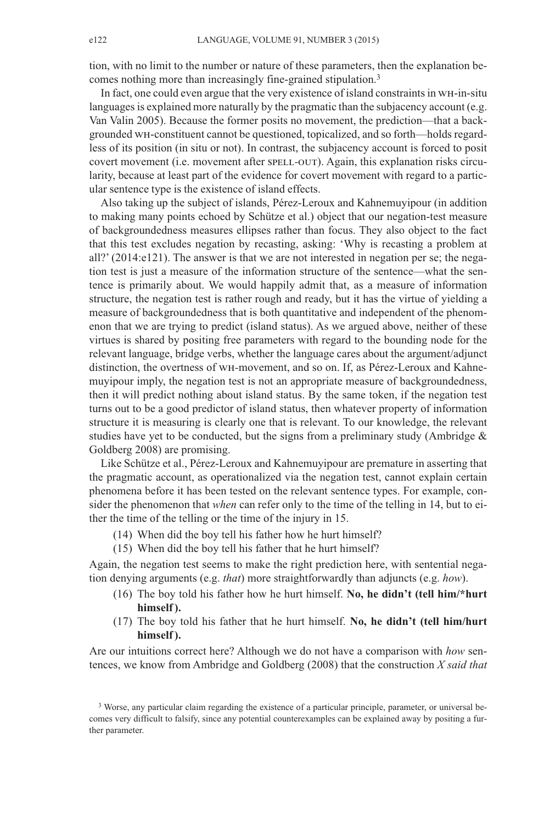tion, with no limit to the number or nature of these parameters, then the explanation becomes nothing more than increasingly fine-grained stipulation.<sup>3</sup>

In fact, one could even argue that the very existence of island constraints in wh-in-situ languages is explained more naturally by the pragmatic than the subjacency account (e.g. Van Valin 2005). Because the former posits no movement, the prediction—that a backgrounded wh-constituent cannot be questioned, topicalized, and so forth—holds regardless of its position (in situ or not). In contrast, the subjacency account is forced to posit covert movement (i.e. movement after spell-out). Again, this explanation risks circularity, because at least part of the evidence for covert movement with regard to a particular sentence type is the existence of island effects.

Also taking up the subject of islands, Pérez-Leroux and Kahnemuyipour (in addition to making many points echoed by Schütze et al.) object that our negation-test measure of backgroundedness measures ellipses rather than focus. They also object to the fact that this test excludes negation by recasting, asking: 'Why is recasting a problem at all?' (2014:e121). The answer is that we are not interested in negation per se; the negation test is just a measure of the information structure of the sentence—what the sentence is primarily about. We would happily admit that, as a measure of information structure, the negation test is rather rough and ready, but it has the virtue of yielding a measure of backgroundedness that is both quantitative and independent of the phenomenon that we are trying to predict (island status). As we argued above, neither of these virtues is shared by positing free parameters with regard to the bounding node for the relevant language, bridge verbs, whether the language cares about the argument/adjunct distinction, the overtness of wh*-*movement, and so on. If, as Pérez-Leroux and Kahnemuyipour imply, the negation test is not an appropriate measure of backgroundedness, then it will predict nothing about island status. By the same token, if the negation test turns out to be a good predictor of island status, then whatever property of information structure it is measuring is clearly one that is relevant. To our knowledge, the relevant studies have yet to be conducted, but the signs from a preliminary study (Ambridge  $\&$ Goldberg 2008) are promising.

Like Schütze et al., Pérez-Leroux and Kahnemuyipour are premature in asserting that the pragmatic account, as operationalized via the negation test, cannot explain certain phenomena before it has been tested on the relevant sentence types. For example, consider the phenomenon that *when* can refer only to the time of the telling in 14, but to either the time of the telling or the time of the injury in 15.

- (14) When did the boy tell his father how he hurt himself?
- (15) When did the boy tell his father that he hurt himself?

Again, the negation test seems to make the right prediction here, with sentential negation denying arguments (e.g. *that*) more straightforwardly than adjuncts (e.g. *how*).

- (16) The boy told his father how he hurt himself. **No, he didn't (tell him/\*hurt himself ).**
- (17) The boy told his father that he hurt himself. **No, he didn't (tell him/hurt himself ).**

Are our intuitions correct here? Although we do not have a comparison with *how* sentences, we know from Ambridge and Goldberg (2008) that the construction *X said that*

<sup>3</sup> Worse, any particular claim regarding the existence of a particular principle, parameter, or universal becomes very difficult to falsify, since any potential counterexamples can be explained away by positing a further parameter.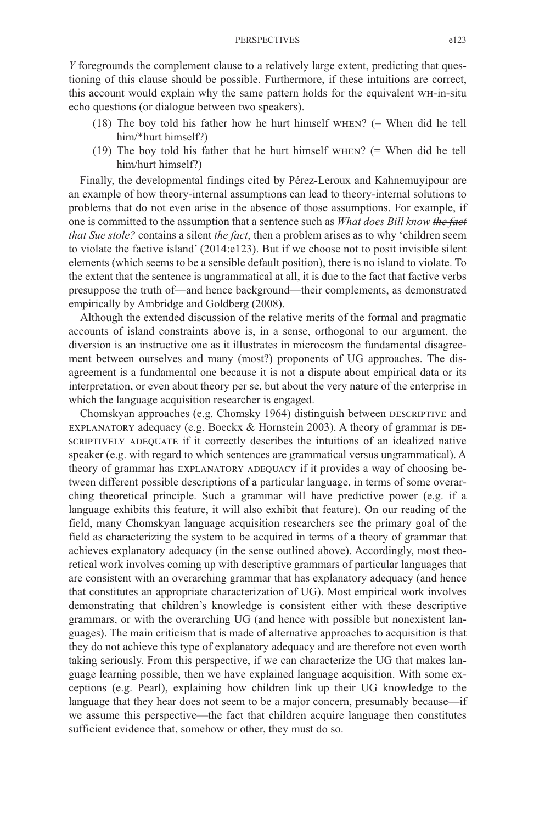*Y* foregrounds the complement clause to a relatively large extent, predicting that questioning of this clause should be possible. Furthermore, if these intuitions are correct, this account would explain why the same pattern holds for the equivalent wh-in-situ echo questions (or dialogue between two speakers).

- (18) The boy told his father how he hurt himself when? (= When did he tell him/\*hurt himself?)
- (19) The boy told his father that he hurt himself when  $?$  (= When did he tell him/hurt himself?)

Finally, the developmental findings cited by Pérez-Leroux and Kahnemuyipour are an example of how theory-internal assumptions can lead to theory-internal solutions to problems that do not even arise in the absence of those assumptions. For example, if one is committed to the assumption that a sentence such as *What does Bill know the fact that Sue stole?* contains a silent *the fact*, then a problem arises as to why 'children seem to violate the factive island' (2014:e123). But if we choose not to posit invisible silent elements (which seems to be a sensible default position), there is no island to violate. To the extent that the sentence is ungrammatical at all, it is due to the fact that factive verbs presuppose the truth of—and hence background—their complements, as demonstrated empirically by Ambridge and Goldberg (2008).

Although the extended discussion of the relative merits of the formal and pragmatic accounts of island constraints above is, in a sense, orthogonal to our argument, the diversion is an instructive one as it illustrates in microcosm the fundamental disagreement between ourselves and many (most?) proponents of UG approaches. The disagreement is a fundamental one because it is not a dispute about empirical data or its interpretation, or even about theory per se, but about the very nature of the enterprise in which the language acquisition researcher is engaged.

Chomskyan approaches (e.g. Chomsky 1964) distinguish between DESCRIPTIVE and EXPLANATORY adequacy (e.g. Boeckx  $&$  Hornstein 2003). A theory of grammar is DEscriptively adequate if it correctly describes the intuitions of an idealized native speaker (e.g. with regard to which sentences are grammatical versus ungrammatical). A theory of grammar has EXPLANATORY ADEQUACY if it provides a way of choosing between different possible descriptions of a particular language, in terms of some overarching theoretical principle. Such a grammar will have predictive power (e.g. if a language exhibits this feature, it will also exhibit that feature). On our reading of the field, many Chomskyan language acquisition researchers see the primary goal of the field as characterizing the system to be acquired in terms of a theory of grammar that achieves explanatory adequacy (in the sense outlined above). Accordingly, most theoretical work involves coming up with descriptive grammars of particular languages that are consistent with an overarching grammar that has explanatory adequacy (and hence that constitutes an appropriate characterization of UG). Most empirical work involves demonstrating that children's knowledge is consistent either with these descriptive grammars, or with the overarching UG (and hence with possible but nonexistent languages). The main criticism that is made of alternative approaches to acquisition is that they do not achieve this type of explanatory adequacy and are therefore not even worth taking seriously. From this perspective, if we can characterize the UG that makes language learning possible, then we have explained language acquisition. With some exceptions (e.g. Pearl), explaining how children link up their UG knowledge to the language that they hear does not seem to be a major concern, presumably because—if we assume this perspective—the fact that children acquire language then constitutes sufficient evidence that, somehow or other, they must do so.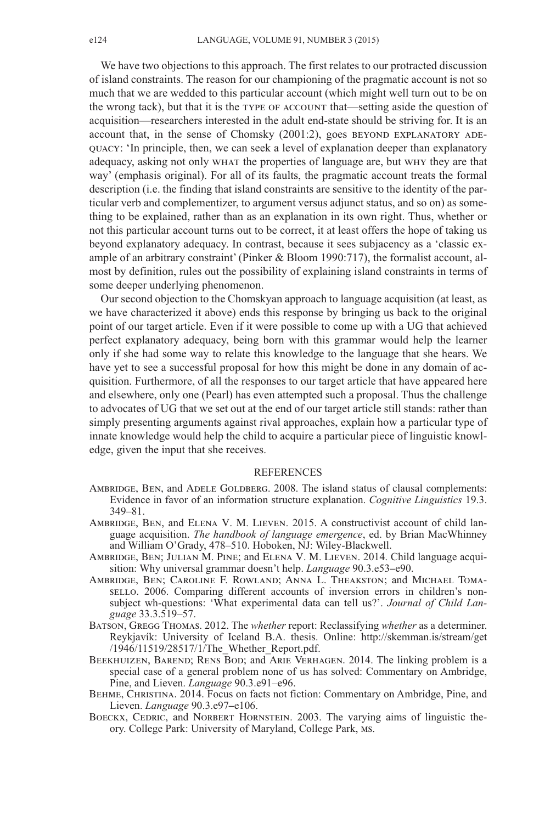We have two objections to this approach. The first relates to our protracted discussion of island constraints. The reason for our championing of the pragmatic account is not so much that we are wedded to this particular account (which might well turn out to be on the wrong tack), but that it is the type of account that—setting aside the question of acquisition—researchers interested in the adult end-state should be striving for. It is an account that, in the sense of Chomsky (2001:2), goes BEYOND EXPLANATORY ADEquacy: 'In principle, then, we can seek a level of explanation deeper than explanatory adequacy, asking not only what the properties of language are, but why they are that way' (emphasis original). For all of its faults, the pragmatic account treats the formal description (i.e. the finding that island constraints are sensitive to the identity of the particular verb and complementizer, to argument versus adjunct status, and so on) as something to be explained, rather than as an explanation in its own right. Thus, whether or not this particular account turns out to be correct, it at least offers the hope of taking us beyond explanatory adequacy. In contrast, because it sees subjacency as a 'classic example of an arbitrary constraint' (Pinker & Bloom 1990:717), the formalist account, almost by definition, rules out the possibility of explaining island constraints in terms of some deeper underlying phenomenon.

Our second objection to the Chomskyan approach to language acquisition (at least, as we have characterized it above) ends this response by bringing us back to the original point of our target article. Even if it were possible to come up with a UG that achieved perfect explanatory adequacy, being born with this grammar would help the learner only if she had some way to relate this knowledge to the language that she hears. We have yet to see a successful proposal for how this might be done in any domain of acquisition. Furthermore, of all the responses to our target article that have appeared here and elsewhere, only one (Pearl) has even attempted such a proposal. Thus the challenge to advocates of UG that we set out at the end of our target article still stands: rather than simply presenting arguments against rival approaches, explain how a particular type of innate knowledge would help the child to acquire a particular piece of linguistic knowledge, given the input that she receives.

## **REFERENCES**

- AMBRIDGE, BEN, and ADELE GOLDBERG. 2008. The island status of clausal complements: Evidence in favor of an information structure explanation. *Cognitive Linguistics* 19.3. 349–81.
- Ambridge, Ben, and Elena V. M. Lieven. 2015. A constructivist account of child language acquisition. *The handbook of language emergence*, ed. by Brian MacWhinney and William O'Grady, 478–510. Hoboken, NJ: Wiley-Blackwell.
- Ambridge, Ben; Julian M. Pine; and Elena V. M. Lieven. 2014. Child language acquisition: Why universal grammar doesn't help. *Language* 90.3.e53**–**e90.
- Ambridge, Ben; Caroline F. Rowland; Anna L. Theakston; and Michael Tomasello. 2006. Comparing different accounts of inversion errors in children's nonsubject wh-questions: 'What experimental data can tell us?'. *Journal of Child Language* 33.3.519–57.
- Batson, Gregg Thomas. 2012. The *whether* report: Reclassifying *whether* as a determiner. Reykjavík: University of Iceland B.A. thesis. Online: [http://skemman.is/stream/get](http://skemman.is/stream/get/1946/11519/28517/1/The_Whether_Report.pdf) [/1946/11519/28517/1/The\\_Whether\\_Report.pdf.](http://skemman.is/stream/get/1946/11519/28517/1/The_Whether_Report.pdf)
- Beekhuizen, Barend; Rens Bod; and Arie Verhagen. 2014. The linking problem is a special case of a general problem none of us has solved: Commentary on Ambridge, Pine, and Lieven. *Language* 90.3.e91–e96.
- BEHME, CHRISTINA. 2014. Focus on facts not fiction: Commentary on Ambridge, Pine, and Lieven. *Language* 90.3.e97**–**e106.
- BOECKX, CEDRIC, and NORBERT HORNSTEIN. 2003. The varying aims of linguistic theory. College Park: University of Maryland, College Park, ms.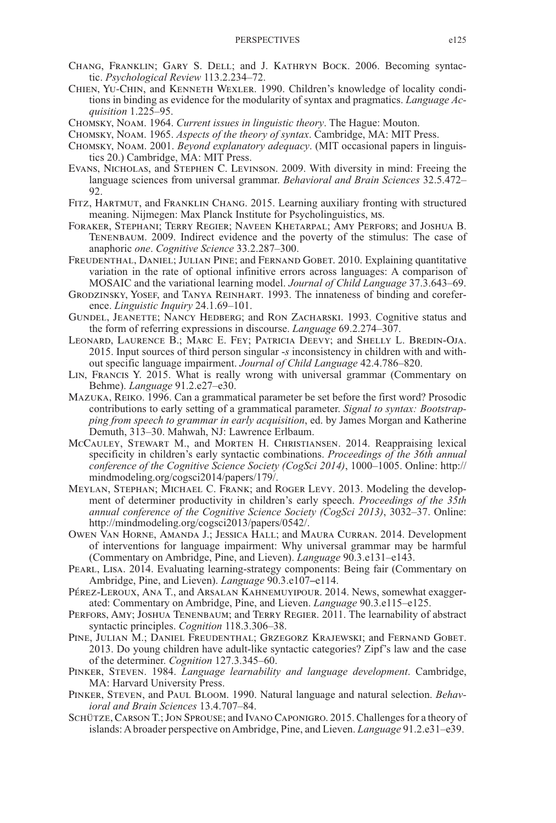- Chang, Franklin; Gary S. Dell; and J. Kathryn Bock. 2006. Becoming syntactic. *Psychological Review* 113.2.234–72.
- Chien, Yu-Chin, and Kenneth Wexler. 1990. Children's knowledge of locality conditions in binding as evidence for the modularity of syntax and pragmatics. *Language Acquisition* 1.225–95.
- Chomsky, Noam. 1964. *Current issues in linguistic theory*. The Hague: Mouton.
- Chomsky, Noam. 1965. *Aspects of the theory of syntax*. Cambridge, MA: MIT Press.
- Chomsky, Noam. 2001. *Beyond explanatory adequacy*. (MIT occasional papers in linguistics 20.) Cambridge, MA: MIT Press.
- Evans, Nicholas, and Stephen C. Levinson. 2009. With diversity in mind: Freeing the language sciences from universal grammar. *Behavioral and Brain Sciences* 32.5.472– 92.
- Fitz, Hartmut, and Franklin Chang. 2015. Learning auxiliary fronting with structured meaning. Nijmegen: Max Planck Institute for Psycholinguistics, ms.
- Foraker, Stephani; Terry Regier; Naveen Khetarpal; Amy Perfors; and Joshua B. Tenenbaum. 2009. Indirect evidence and the poverty of the stimulus: The case of anaphoric *one*. *Cognitive Science* 33.2.287–300.
- Freudenthal, Daniel; Julian Pine; and Fernand Gobet. 2010. Explaining quantitative variation in the rate of optional infinitive errors across languages: A comparison of MOSAIC and the variational learning model. *Journal of Child Language* 37.3.643–69.
- GRODZINSKY, YOSEF, and TANYA REINHART. 1993. The innateness of binding and coreference. *Linguistic Inquiry* 24.1.69–101.
- Gundel, Jeanette; Nancy Hedberg; and Ron Zacharski. 1993. Cognitive status and the form of referring expressions in discourse. *Language* 69.2.274–307.
- Leonard, Laurence B.; Marc E. Fey; Patricia Deevy; and Shelly L. Bredin-Oja. 2015. Input sources of third person singular -*s* inconsistency in children with and without specific language impairment. *Journal of Child Language* 42.4.786–820.
- Lin, Francis Y. 2015. What is really wrong with universal grammar (Commentary on Behme). *Language* 91.2.e27–e30.
- Mazuka, Reiko. 1996. Can a grammatical parameter be set before the first word? Prosodic contributions to early setting of a grammatical parameter. *Signal to syntax: Bootstrapping from speech to grammar in early acquisition*, ed. by James Morgan and Katherine Demuth, 313–30. Mahwah, NJ: Lawrence Erlbaum.
- McCauley, Stewart M., and Morten H. Christiansen. 2014. Reappraising lexical specificity in children's early syntactic combinations. *Proceedings of the 36th annual conference of the Cognitive Science Society (CogSci 2014)*, 1000–1005. Online: [http://](http://mindmodeling.org/cogsci2014/papers/179/) [mindmodeling.org/cogsci2014/papers/179/.](http://mindmodeling.org/cogsci2014/papers/179/)
- Meylan, Stephan; Michael C. Frank; and Roger Levy. 2013. Modeling the development of determiner productivity in children's early speech. *Proceedings of the 35th annual conference of the Cognitive Science Society (CogSci 2013)*, 3032–37. Online: [http://mindmodeling.org/cogsci2013/papers/0542/.](http://mindmodeling.org/cogsci2013/papers/0542/)
- Owen Van Horne, Amanda J.; Jessica Hall; and Maura Curran. 2014. Development of interventions for language impairment: Why universal grammar may be harmful (Commentary on Ambridge, Pine, and Lieven). *Language* 90.3.e131–e143.
- Pearl, Lisa. 2014. Evaluating learning-strategy components: Being fair (Commentary on Ambridge, Pine, and Lieven). *Language* 90.3.e107**–**e114.
- Pérez-Leroux, Ana T., and Arsalan Kahnemuyipour. 2014. News, somewhat exaggerated: Commentary on Ambridge, Pine, and Lieven. *Language* 90.3.e115–e125.
- Perfors, Amy; Joshua Tenenbaum; and Terry Regier. 2011. The learnability of abstract syntactic principles. *Cognition* 118.3.306–38.
- Pine, Julian M.; Daniel Freudenthal; Grzegorz Krajewski; and Fernand Gobet. 2013. Do young children have adult-like syntactic categories? Zipf's law and the case of the determiner. *Cognition* 127.3.345–60.
- Pinker, Steven. 1984. *Language learnability and language development*. Cambridge, MA: Harvard University Press.
- PINKER, STEVEN, and PAUL BLOOM. 1990. Natural language and natural selection. *Behavioral and Brain Sciences* 13.4.707–84.
- Schütze, Carson T.; Jon Sprouse; and Ivano Caponigro. 2015. Challenges for a theory of islands: A broader perspective on Ambridge, Pine, and Lieven. *Language* 91.2.e31–e39.